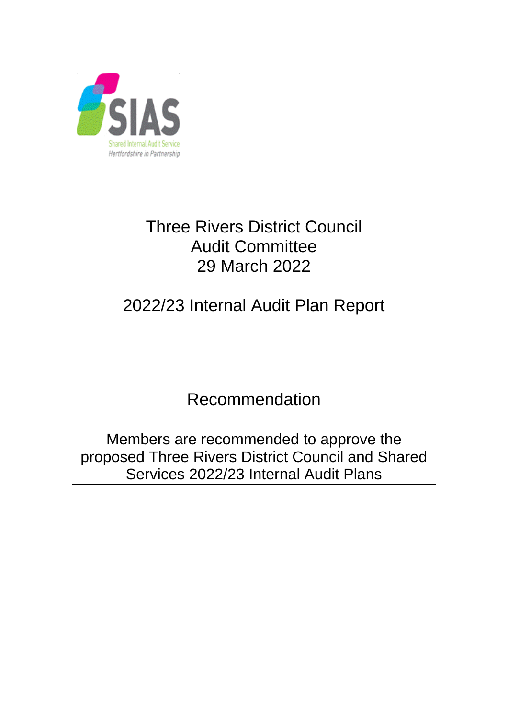

# Three Rivers District Council Audit Committee 29 March 2022

# 2022/23 Internal Audit Plan Report

Recommendation

Members are recommended to approve the proposed Three Rivers District Council and Shared Services 2022/23 Internal Audit Plans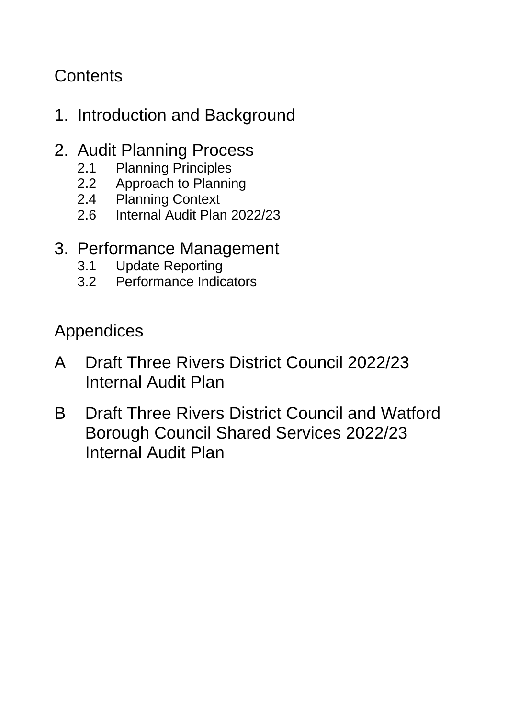## **Contents**

# 1. Introduction and Background

### 2. Audit Planning Process

- 
- 2.1 Planning Principles<br>2.2 Approach to Plannin Approach to Planning
- 2.4 Planning Context
- 2.6 Internal Audit Plan 2022/23

## 3. Performance Management

- 3.1 Update Reporting<br>3.2 Performance Indio
- Performance Indicators

Appendices

- A Draft Three Rivers District Council 2022/23 Internal Audit Plan
- B Draft Three Rivers District Council and Watford Borough Council Shared Services 2022/23 Internal Audit Plan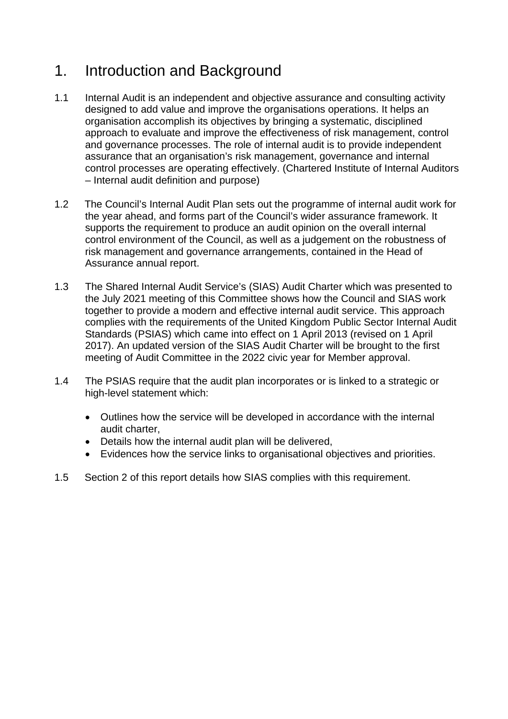### 1. Introduction and Background

- 1.1 Internal Audit is an independent and objective assurance and consulting activity designed to add value and improve the organisations operations. It helps an organisation accomplish its objectives by bringing a systematic, disciplined approach to evaluate and improve the effectiveness of risk management, control and governance processes. The role of internal audit is to provide independent assurance that an organisation's risk management, governance and internal control processes are operating effectively. (Chartered Institute of Internal Auditors – Internal audit definition and purpose)
- 1.2 The Council's Internal Audit Plan sets out the programme of internal audit work for the year ahead, and forms part of the Council's wider assurance framework. It supports the requirement to produce an audit opinion on the overall internal control environment of the Council, as well as a judgement on the robustness of risk management and governance arrangements, contained in the Head of Assurance annual report.
- 1.3 The Shared Internal Audit Service's (SIAS) Audit Charter which was presented to the July 2021 meeting of this Committee shows how the Council and SIAS work together to provide a modern and effective internal audit service. This approach complies with the requirements of the United Kingdom Public Sector Internal Audit Standards (PSIAS) which came into effect on 1 April 2013 (revised on 1 April 2017). An updated version of the SIAS Audit Charter will be brought to the first meeting of Audit Committee in the 2022 civic year for Member approval.
- 1.4 The PSIAS require that the audit plan incorporates or is linked to a strategic or high-level statement which:
	- Outlines how the service will be developed in accordance with the internal audit charter,
	- Details how the internal audit plan will be delivered,
	- Evidences how the service links to organisational objectives and priorities.
- 1.5 Section 2 of this report details how SIAS complies with this requirement.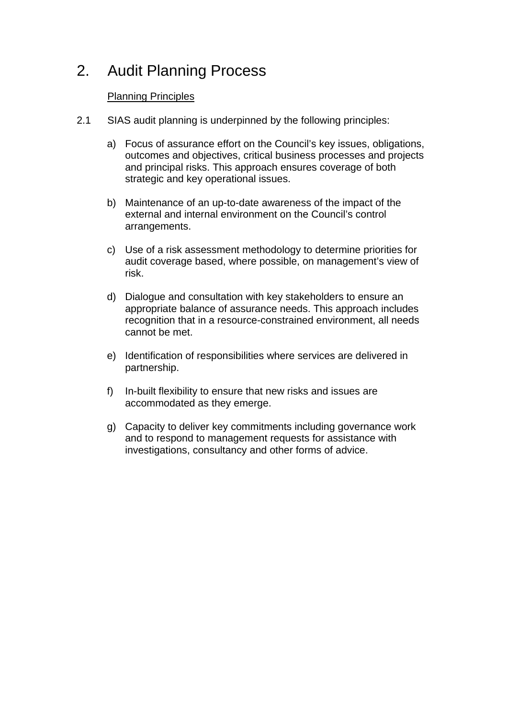### 2. Audit Planning Process

### Planning Principles

- 2.1 SIAS audit planning is underpinned by the following principles:
	- a) Focus of assurance effort on the Council's key issues, obligations, outcomes and objectives, critical business processes and projects and principal risks. This approach ensures coverage of both strategic and key operational issues.
	- b) Maintenance of an up-to-date awareness of the impact of the external and internal environment on the Council's control arrangements.
	- c) Use of a risk assessment methodology to determine priorities for audit coverage based, where possible, on management's view of risk.
	- d) Dialogue and consultation with key stakeholders to ensure an appropriate balance of assurance needs. This approach includes recognition that in a resource-constrained environment, all needs cannot be met.
	- e) Identification of responsibilities where services are delivered in partnership.
	- f) In-built flexibility to ensure that new risks and issues are accommodated as they emerge.
	- g) Capacity to deliver key commitments including governance work and to respond to management requests for assistance with investigations, consultancy and other forms of advice.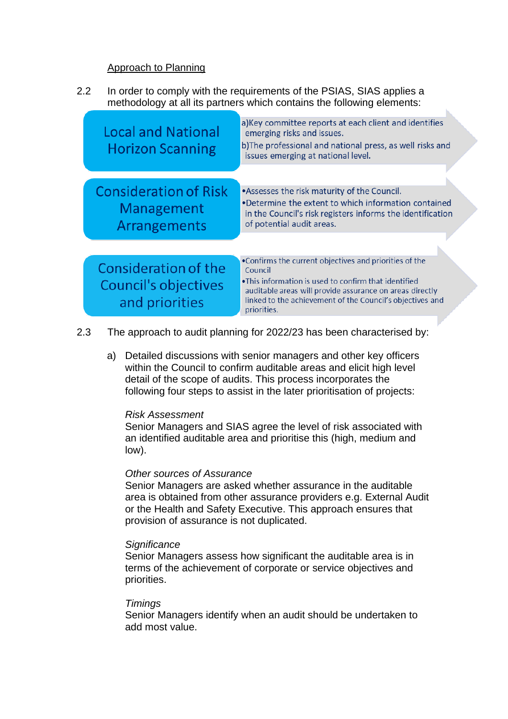#### Approach to Planning

2.2 In order to comply with the requirements of the PSIAS, SIAS applies a methodology at all its partners which contains the following elements:

| <b>Local and National</b><br><b>Horizon Scanning</b>              | a) Key committee reports at each client and identifies<br>emerging risks and issues.<br>b) The professional and national press, as well risks and<br>issues emerging at national level.                                                                            |
|-------------------------------------------------------------------|--------------------------------------------------------------------------------------------------------------------------------------------------------------------------------------------------------------------------------------------------------------------|
| <b>Consideration of Risk</b><br><b>Management</b><br>Arrangements | • Assesses the risk maturity of the Council.<br>•Determine the extent to which information contained<br>in the Council's risk registers informs the identification<br>of potential audit areas.                                                                    |
| Consideration of the<br>Council's objectives<br>and priorities    | . Confirms the current objectives and priorities of the<br>Council<br>•This information is used to confirm that identified<br>auditable areas will provide assurance on areas directly<br>linked to the achievement of the Council's objectives and<br>priorities. |

- 2.3 The approach to audit planning for 2022/23 has been characterised by:
	- a) Detailed discussions with senior managers and other key officers within the Council to confirm auditable areas and elicit high level detail of the scope of audits. This process incorporates the following four steps to assist in the later prioritisation of projects:

#### *Risk Assessment*

Senior Managers and SIAS agree the level of risk associated with an identified auditable area and prioritise this (high, medium and low).

#### *Other sources of Assurance*

Senior Managers are asked whether assurance in the auditable area is obtained from other assurance providers e.g. External Audit or the Health and Safety Executive. This approach ensures that provision of assurance is not duplicated.

#### *Significance*

Senior Managers assess how significant the auditable area is in terms of the achievement of corporate or service objectives and priorities.

#### *Timings*

Senior Managers identify when an audit should be undertaken to add most value.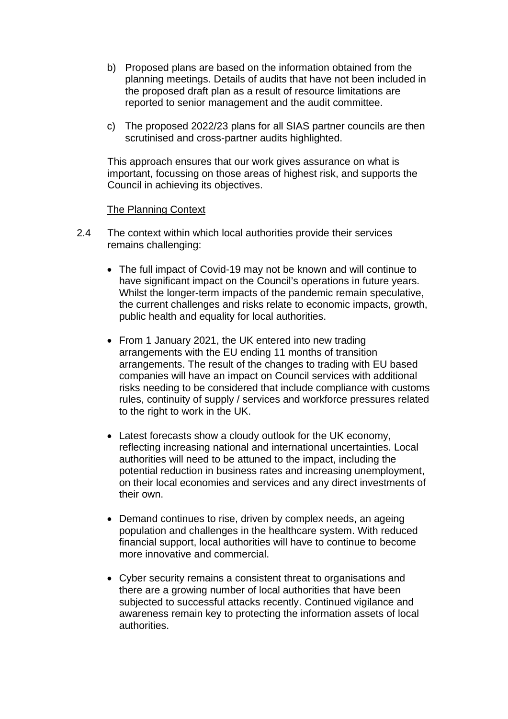- b) Proposed plans are based on the information obtained from the planning meetings. Details of audits that have not been included in the proposed draft plan as a result of resource limitations are reported to senior management and the audit committee.
- c) The proposed 2022/23 plans for all SIAS partner councils are then scrutinised and cross-partner audits highlighted.

This approach ensures that our work gives assurance on what is important, focussing on those areas of highest risk, and supports the Council in achieving its objectives.

#### The Planning Context

- 2.4 The context within which local authorities provide their services remains challenging:
	- The full impact of Covid-19 may not be known and will continue to have significant impact on the Council's operations in future years. Whilst the longer-term impacts of the pandemic remain speculative, the current challenges and risks relate to economic impacts, growth, public health and equality for local authorities.
	- From 1 January 2021, the UK entered into new trading arrangements with the EU ending 11 months of transition arrangements. The result of the changes to trading with EU based companies will have an impact on Council services with additional risks needing to be considered that include compliance with customs rules, continuity of supply / services and workforce pressures related to the right to work in the UK.
	- Latest forecasts show a cloudy outlook for the UK economy, reflecting increasing national and international uncertainties. Local authorities will need to be attuned to the impact, including the potential reduction in business rates and increasing unemployment, on their local economies and services and any direct investments of their own.
	- Demand continues to rise, driven by complex needs, an ageing population and challenges in the healthcare system. With reduced financial support, local authorities will have to continue to become more innovative and commercial.
	- Cyber security remains a consistent threat to organisations and there are a growing number of local authorities that have been subjected to successful attacks recently. Continued vigilance and awareness remain key to protecting the information assets of local authorities.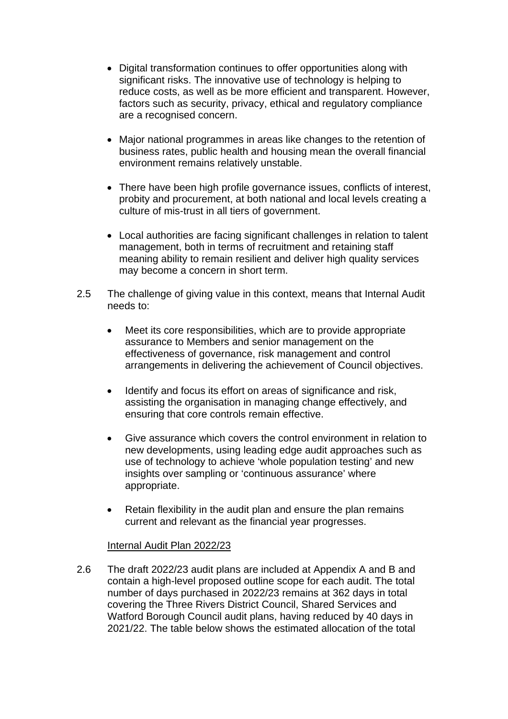- Digital transformation continues to offer opportunities along with significant risks. The innovative use of technology is helping to reduce costs, as well as be more efficient and transparent. However, factors such as security, privacy, ethical and regulatory compliance are a recognised concern.
- Major national programmes in areas like changes to the retention of business rates, public health and housing mean the overall financial environment remains relatively unstable.
- There have been high profile governance issues, conflicts of interest, probity and procurement, at both national and local levels creating a culture of mis-trust in all tiers of government.
- Local authorities are facing significant challenges in relation to talent management, both in terms of recruitment and retaining staff meaning ability to remain resilient and deliver high quality services may become a concern in short term.
- 2.5 The challenge of giving value in this context, means that Internal Audit needs to:
	- Meet its core responsibilities, which are to provide appropriate assurance to Members and senior management on the effectiveness of governance, risk management and control arrangements in delivering the achievement of Council objectives.
	- Identify and focus its effort on areas of significance and risk, assisting the organisation in managing change effectively, and ensuring that core controls remain effective.
	- Give assurance which covers the control environment in relation to new developments, using leading edge audit approaches such as use of technology to achieve 'whole population testing' and new insights over sampling or 'continuous assurance' where appropriate.
	- Retain flexibility in the audit plan and ensure the plan remains current and relevant as the financial year progresses.

#### Internal Audit Plan 2022/23

2.6 The draft 2022/23 audit plans are included at Appendix A and B and contain a high-level proposed outline scope for each audit. The total number of days purchased in 2022/23 remains at 362 days in total covering the Three Rivers District Council, Shared Services and Watford Borough Council audit plans, having reduced by 40 days in 2021/22. The table below shows the estimated allocation of the total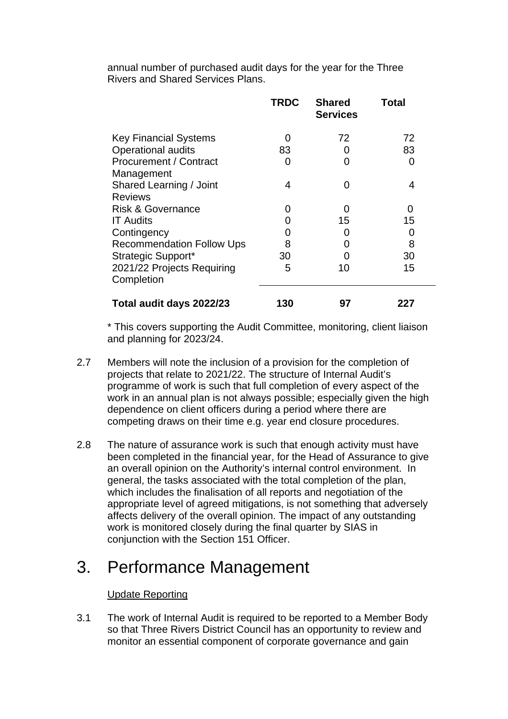annual number of purchased audit days for the year for the Three Rivers and Shared Services Plans.

|                                  | <b>TRDC</b> | <b>Shared</b><br><b>Services</b> | <b>Total</b> |
|----------------------------------|-------------|----------------------------------|--------------|
| <b>Key Financial Systems</b>     |             | 72                               | 72           |
| <b>Operational audits</b>        | 83          | O                                | 83           |
| Procurement / Contract           |             | 0                                | O            |
| Management                       |             |                                  |              |
| Shared Learning / Joint          | 4           | ∩                                | 4            |
| <b>Reviews</b>                   |             |                                  |              |
| <b>Risk &amp; Governance</b>     |             | O                                | $\Omega$     |
| <b>IT Audits</b>                 |             | 15                               | 15           |
| Contingency                      |             | $\mathbf{\Omega}$                | O            |
| <b>Recommendation Follow Ups</b> | 8           | O                                | 8            |
| Strategic Support*               | 30          |                                  | 30           |
| 2021/22 Projects Requiring       | 5           | 10                               | 15           |
| Completion                       |             |                                  |              |
| Total audit days 2022/23         | 130         | 97                               | 227          |

\* This covers supporting the Audit Committee, monitoring, client liaison and planning for 2023/24.

- 2.7 Members will note the inclusion of a provision for the completion of projects that relate to 2021/22. The structure of Internal Audit's programme of work is such that full completion of every aspect of the work in an annual plan is not always possible; especially given the high dependence on client officers during a period where there are competing draws on their time e.g. year end closure procedures.
- 2.8 The nature of assurance work is such that enough activity must have been completed in the financial year, for the Head of Assurance to give an overall opinion on the Authority's internal control environment. In general, the tasks associated with the total completion of the plan, which includes the finalisation of all reports and negotiation of the appropriate level of agreed mitigations, is not something that adversely affects delivery of the overall opinion. The impact of any outstanding work is monitored closely during the final quarter by SIAS in conjunction with the Section 151 Officer.

### 3. Performance Management

### Update Reporting

3.1 The work of Internal Audit is required to be reported to a Member Body so that Three Rivers District Council has an opportunity to review and monitor an essential component of corporate governance and gain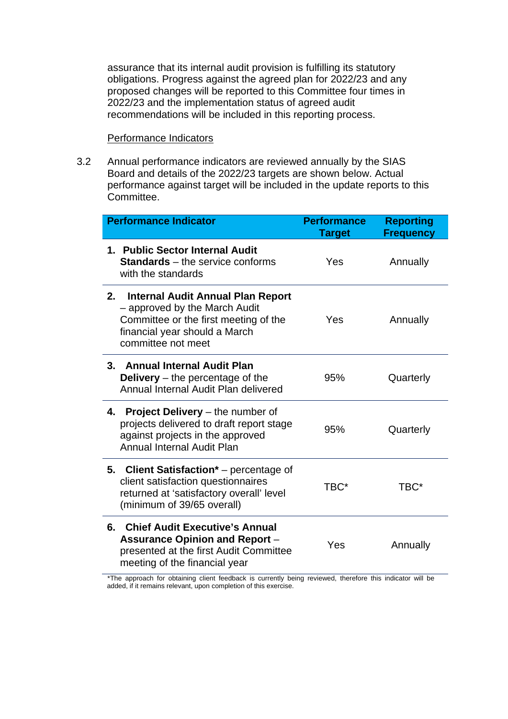assurance that its internal audit provision is fulfilling its statutory obligations. Progress against the agreed plan for 2022/23 and any proposed changes will be reported to this Committee four times in 2022/23 and the implementation status of agreed audit recommendations will be included in this reporting process.

#### Performance Indicators

3.2 Annual performance indicators are reviewed annually by the SIAS Board and details of the 2022/23 targets are shown below. Actual performance against target will be included in the update reports to this Committee.

| <b>Performance Indicator</b>                                                                                                                                             | <b>Performance</b><br><b>Target</b> | <b>Reporting</b><br><b>Frequency</b> |
|--------------------------------------------------------------------------------------------------------------------------------------------------------------------------|-------------------------------------|--------------------------------------|
| 1. Public Sector Internal Audit<br><b>Standards</b> – the service conforms<br>with the standards                                                                         | Yes                                 | Annually                             |
| 2.<br>Internal Audit Annual Plan Report<br>- approved by the March Audit<br>Committee or the first meeting of the<br>financial year should a March<br>committee not meet | Yes                                 | Annually                             |
| 3. Annual Internal Audit Plan<br><b>Delivery</b> $-$ the percentage of the<br>Annual Internal Audit Plan delivered                                                       | 95%                                 | Quarterly                            |
| 4. Project Delivery – the number of<br>projects delivered to draft report stage<br>against projects in the approved<br><b>Annual Internal Audit Plan</b>                 | 95%                                 | Quarterly                            |
| 5. Client Satisfaction* – percentage of<br>client satisfaction questionnaires<br>returned at 'satisfactory overall' level<br>(minimum of 39/65 overall)                  | TBC*                                | TBC*                                 |
| <b>Chief Audit Executive's Annual</b><br>6.<br><b>Assurance Opinion and Report -</b><br>presented at the first Audit Committee<br>meeting of the financial year          | Yes                                 | Annually                             |

\*The approach for obtaining client feedback is currently being reviewed, therefore this indicator will be added, if it remains relevant, upon completion of this exercise.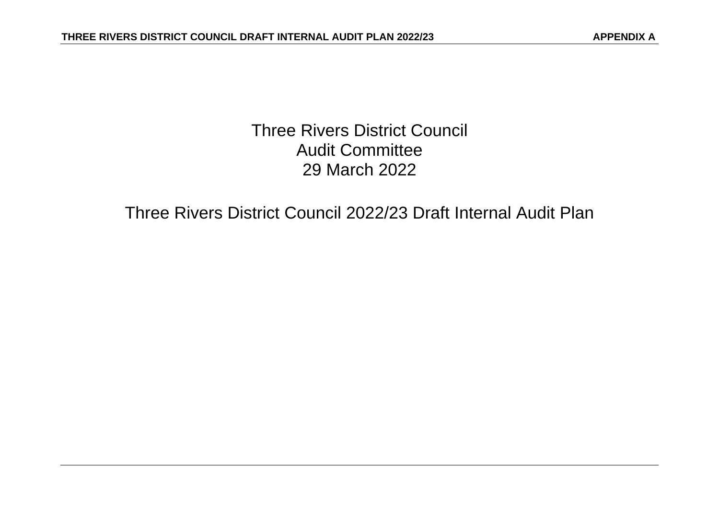Three Rivers District Council Audit Committee 29 March 2022

Three Rivers District Council 2022/23 Draft Internal Audit Plan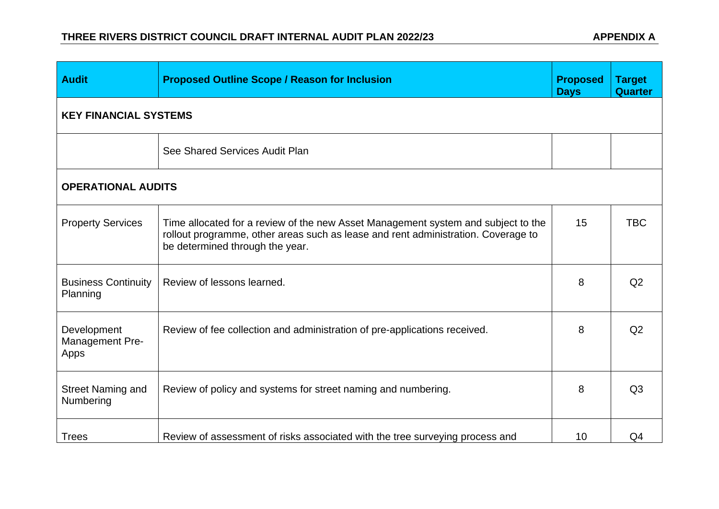| <b>Audit</b>                           | <b>Proposed Outline Scope / Reason for Inclusion</b>                                                                                                                                                      | <b>Proposed</b><br><b>Days</b> | <b>Target</b><br><b>Quarter</b> |
|----------------------------------------|-----------------------------------------------------------------------------------------------------------------------------------------------------------------------------------------------------------|--------------------------------|---------------------------------|
| <b>KEY FINANCIAL SYSTEMS</b>           |                                                                                                                                                                                                           |                                |                                 |
|                                        | See Shared Services Audit Plan                                                                                                                                                                            |                                |                                 |
| <b>OPERATIONAL AUDITS</b>              |                                                                                                                                                                                                           |                                |                                 |
| <b>Property Services</b>               | Time allocated for a review of the new Asset Management system and subject to the<br>rollout programme, other areas such as lease and rent administration. Coverage to<br>be determined through the year. | 15                             | <b>TBC</b>                      |
| <b>Business Continuity</b><br>Planning | Review of lessons learned.                                                                                                                                                                                | 8                              | Q <sub>2</sub>                  |
| Development<br>Management Pre-<br>Apps | Review of fee collection and administration of pre-applications received.                                                                                                                                 | 8                              | Q2                              |
| <b>Street Naming and</b><br>Numbering  | Review of policy and systems for street naming and numbering.                                                                                                                                             | 8                              | Q <sub>3</sub>                  |
| <b>Trees</b>                           | Review of assessment of risks associated with the tree surveying process and                                                                                                                              | 10                             | Q4                              |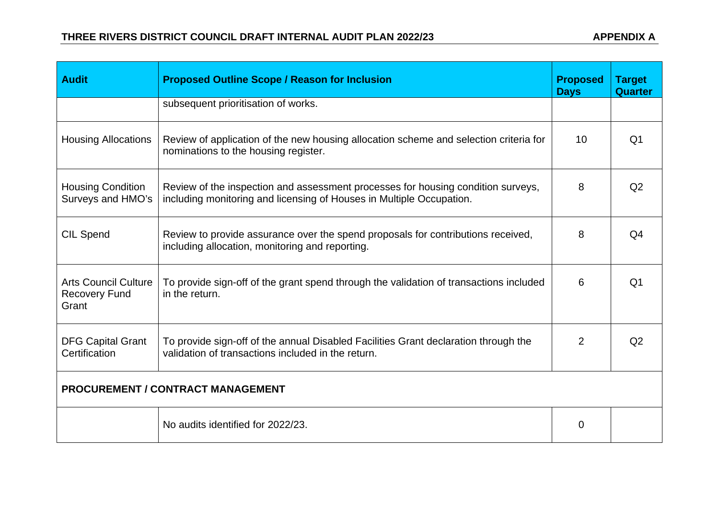| <b>Audit</b>                                                 | <b>Proposed Outline Scope / Reason for Inclusion</b>                                                                                                     | <b>Proposed</b><br><b>Days</b> | <b>Target</b><br><b>Quarter</b> |
|--------------------------------------------------------------|----------------------------------------------------------------------------------------------------------------------------------------------------------|--------------------------------|---------------------------------|
|                                                              | subsequent prioritisation of works.                                                                                                                      |                                |                                 |
| <b>Housing Allocations</b>                                   | Review of application of the new housing allocation scheme and selection criteria for<br>nominations to the housing register.                            | 10                             | Q <sub>1</sub>                  |
| <b>Housing Condition</b><br>Surveys and HMO's                | Review of the inspection and assessment processes for housing condition surveys,<br>including monitoring and licensing of Houses in Multiple Occupation. | 8                              | Q2                              |
| <b>CIL Spend</b>                                             | Review to provide assurance over the spend proposals for contributions received,<br>including allocation, monitoring and reporting.                      | 8                              | Q <sub>4</sub>                  |
| <b>Arts Council Culture</b><br><b>Recovery Fund</b><br>Grant | To provide sign-off of the grant spend through the validation of transactions included<br>in the return.                                                 | 6                              | Q <sub>1</sub>                  |
| <b>DFG Capital Grant</b><br>Certification                    | To provide sign-off of the annual Disabled Facilities Grant declaration through the<br>validation of transactions included in the return.                | $\overline{2}$                 | Q <sub>2</sub>                  |
| <b>PROCUREMENT / CONTRACT MANAGEMENT</b>                     |                                                                                                                                                          |                                |                                 |
|                                                              | No audits identified for 2022/23.                                                                                                                        | $\Omega$                       |                                 |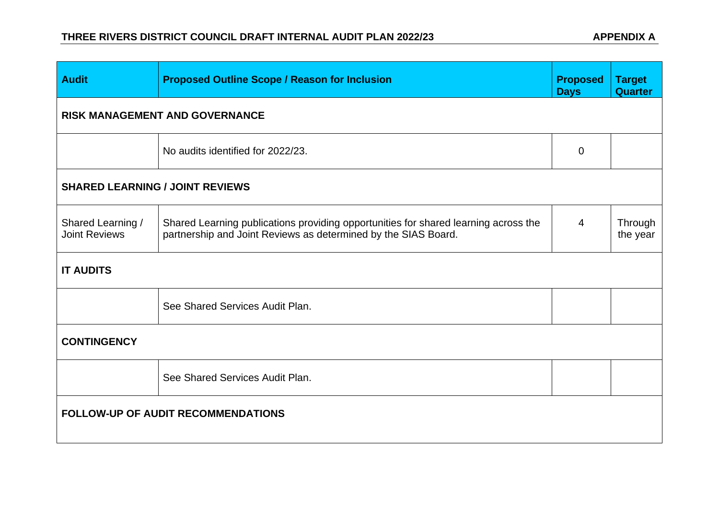| <b>Audit</b>                              | <b>Proposed Outline Scope / Reason for Inclusion</b>                                                                                                  | <b>Proposed</b><br><b>Days</b> | <b>Target</b><br><b>Quarter</b> |  |  |
|-------------------------------------------|-------------------------------------------------------------------------------------------------------------------------------------------------------|--------------------------------|---------------------------------|--|--|
|                                           | <b>RISK MANAGEMENT AND GOVERNANCE</b>                                                                                                                 |                                |                                 |  |  |
|                                           | No audits identified for 2022/23.                                                                                                                     | $\mathbf 0$                    |                                 |  |  |
| <b>SHARED LEARNING / JOINT REVIEWS</b>    |                                                                                                                                                       |                                |                                 |  |  |
| Shared Learning /<br><b>Joint Reviews</b> | Shared Learning publications providing opportunities for shared learning across the<br>partnership and Joint Reviews as determined by the SIAS Board. | $\overline{4}$                 | Through<br>the year             |  |  |
| <b>IT AUDITS</b>                          |                                                                                                                                                       |                                |                                 |  |  |
|                                           | See Shared Services Audit Plan.                                                                                                                       |                                |                                 |  |  |
| <b>CONTINGENCY</b>                        |                                                                                                                                                       |                                |                                 |  |  |
|                                           | See Shared Services Audit Plan.                                                                                                                       |                                |                                 |  |  |
| <b>FOLLOW-UP OF AUDIT RECOMMENDATIONS</b> |                                                                                                                                                       |                                |                                 |  |  |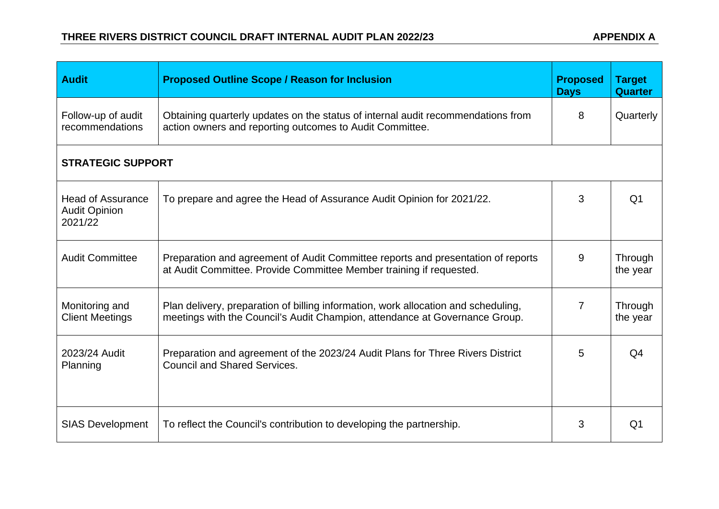| <b>Audit</b>                                                | <b>Proposed Outline Scope / Reason for Inclusion</b>                                                                                                              | <b>Proposed</b><br><b>Days</b> | <b>Target</b><br><b>Quarter</b> |
|-------------------------------------------------------------|-------------------------------------------------------------------------------------------------------------------------------------------------------------------|--------------------------------|---------------------------------|
| Follow-up of audit<br>recommendations                       | Obtaining quarterly updates on the status of internal audit recommendations from<br>action owners and reporting outcomes to Audit Committee.                      | 8                              | Quarterly                       |
| <b>STRATEGIC SUPPORT</b>                                    |                                                                                                                                                                   |                                |                                 |
| <b>Head of Assurance</b><br><b>Audit Opinion</b><br>2021/22 | To prepare and agree the Head of Assurance Audit Opinion for 2021/22.                                                                                             | 3                              | Q <sub>1</sub>                  |
| <b>Audit Committee</b>                                      | Preparation and agreement of Audit Committee reports and presentation of reports<br>at Audit Committee. Provide Committee Member training if requested.           | 9                              | Through<br>the year             |
| Monitoring and<br><b>Client Meetings</b>                    | Plan delivery, preparation of billing information, work allocation and scheduling,<br>meetings with the Council's Audit Champion, attendance at Governance Group. | 7                              | Through<br>the year             |
| 2023/24 Audit<br>Planning                                   | Preparation and agreement of the 2023/24 Audit Plans for Three Rivers District<br><b>Council and Shared Services.</b>                                             | 5                              | Q <sub>4</sub>                  |
| <b>SIAS Development</b>                                     | To reflect the Council's contribution to developing the partnership.                                                                                              | 3                              | Q <sub>1</sub>                  |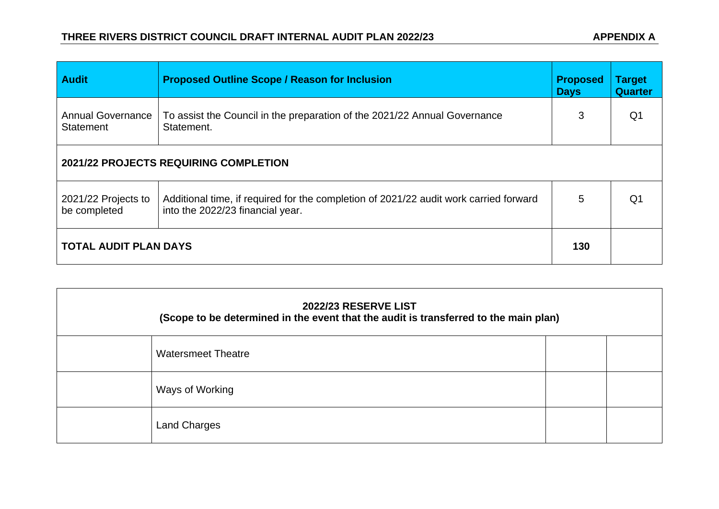| <b>Audit</b>                          | <b>Proposed Outline Scope / Reason for Inclusion</b>                                                                      | <b>Proposed</b><br><b>Days</b> | <b>Target</b><br><b>Quarter</b> |
|---------------------------------------|---------------------------------------------------------------------------------------------------------------------------|--------------------------------|---------------------------------|
| <b>Annual Governance</b><br>Statement | To assist the Council in the preparation of the 2021/22 Annual Governance<br>Statement.                                   | 3                              | Q1                              |
| 2021/22 PROJECTS REQUIRING COMPLETION |                                                                                                                           |                                |                                 |
| 2021/22 Projects to<br>be completed   | Additional time, if required for the completion of 2021/22 audit work carried forward<br>into the 2022/23 financial year. | 5                              | Q1                              |
| <b>TOTAL AUDIT PLAN DAYS</b>          |                                                                                                                           | 130                            |                                 |

| <b>2022/23 RESERVE LIST</b><br>(Scope to be determined in the event that the audit is transferred to the main plan) |                           |  |  |
|---------------------------------------------------------------------------------------------------------------------|---------------------------|--|--|
|                                                                                                                     | <b>Watersmeet Theatre</b> |  |  |
|                                                                                                                     | Ways of Working           |  |  |
|                                                                                                                     | <b>Land Charges</b>       |  |  |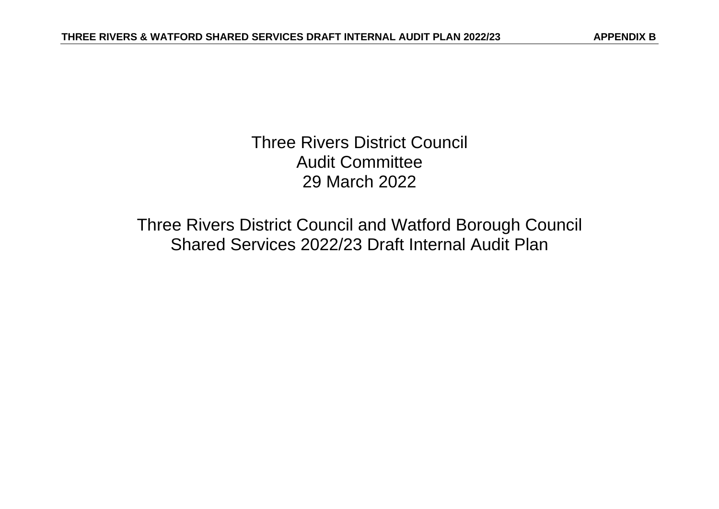Three Rivers District Council Audit Committee 29 March 2022

Three Rivers District Council and Watford Borough Council Shared Services 2022/23 Draft Internal Audit Plan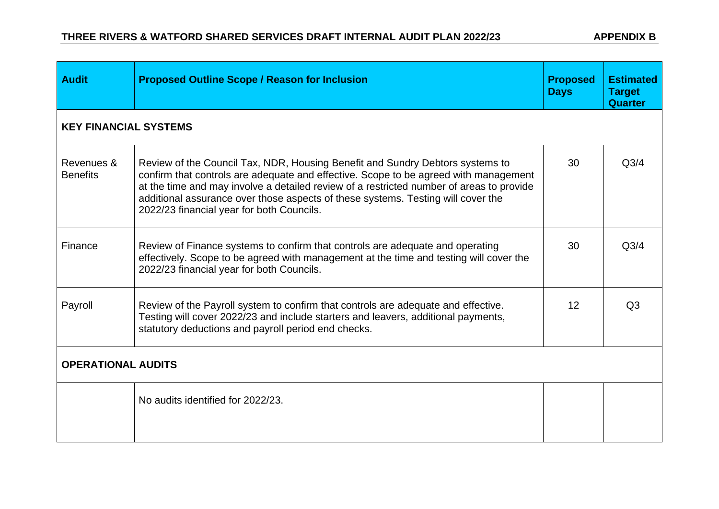| <b>Audit</b>                  | <b>Proposed Outline Scope / Reason for Inclusion</b>                                                                                                                                                                                                                                                                                                                                               | <b>Proposed</b><br><b>Days</b> | <b>Estimated</b><br><b>Target</b><br><b>Quarter</b> |  |
|-------------------------------|----------------------------------------------------------------------------------------------------------------------------------------------------------------------------------------------------------------------------------------------------------------------------------------------------------------------------------------------------------------------------------------------------|--------------------------------|-----------------------------------------------------|--|
| <b>KEY FINANCIAL SYSTEMS</b>  |                                                                                                                                                                                                                                                                                                                                                                                                    |                                |                                                     |  |
| Revenues &<br><b>Benefits</b> | Review of the Council Tax, NDR, Housing Benefit and Sundry Debtors systems to<br>confirm that controls are adequate and effective. Scope to be agreed with management<br>at the time and may involve a detailed review of a restricted number of areas to provide<br>additional assurance over those aspects of these systems. Testing will cover the<br>2022/23 financial year for both Councils. | 30                             | Q <sub>3/4</sub>                                    |  |
| Finance                       | Review of Finance systems to confirm that controls are adequate and operating<br>effectively. Scope to be agreed with management at the time and testing will cover the<br>2022/23 financial year for both Councils.                                                                                                                                                                               | 30                             | Q <sub>3/4</sub>                                    |  |
| Payroll                       | Review of the Payroll system to confirm that controls are adequate and effective.<br>Testing will cover 2022/23 and include starters and leavers, additional payments,<br>statutory deductions and payroll period end checks.                                                                                                                                                                      | 12                             | Q <sub>3</sub>                                      |  |
| <b>OPERATIONAL AUDITS</b>     |                                                                                                                                                                                                                                                                                                                                                                                                    |                                |                                                     |  |
|                               | No audits identified for 2022/23.                                                                                                                                                                                                                                                                                                                                                                  |                                |                                                     |  |